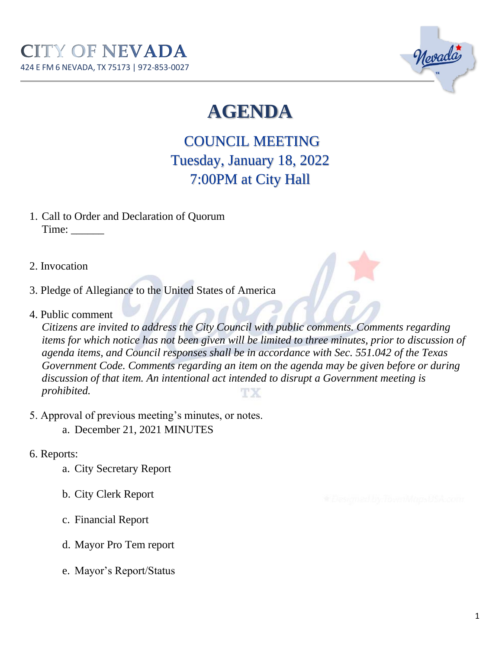

# **AGENDA**

COUNCIL MEETING Tuesday, January 18, 2022 7:00PM at City Hall

- 1. Call to Order and Declaration of Quorum Time: \_\_\_\_\_\_
- 2. Invocation
- 3. Pledge of Allegiance to the United States of America
- 4. Public comment

*Citizens are invited to address the City Council with public comments. Comments regarding items for which notice has not been given will be limited to three minutes, prior to discussion of agenda items, and Council responses shall be in accordance with Sec. 551.042 of the Texas Government Code. Comments regarding an item on the agenda may be given before or during discussion of that item. An intentional act intended to disrupt a Government meeting is prohibited.* TХ

- 5. Approval of previous meeting's minutes, or notes.
	- a. December 21, 2021 MINUTES
- 6. Reports:
	- a. City Secretary Report
	- b. City Clerk Report
	- c. Financial Report
	- d. Mayor Pro Tem report
	- e. Mayor's Report/Status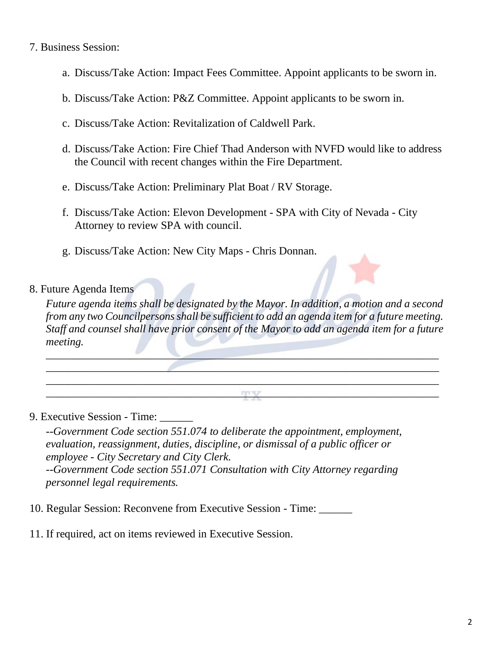#### 7. Business Session:

- a. Discuss/Take Action: Impact Fees Committee. Appoint applicants to be sworn in.
- b. Discuss/Take Action: P&Z Committee. Appoint applicants to be sworn in.
- c. Discuss/Take Action: Revitalization of Caldwell Park.
- d. Discuss/Take Action: Fire Chief Thad Anderson with NVFD would like to address the Council with recent changes within the Fire Department.
- e. Discuss/Take Action: Preliminary Plat Boat / RV Storage.
- f. Discuss/Take Action: Elevon Development SPA with City of Nevada City Attorney to review SPA with council.
- g. Discuss/Take Action: New City Maps Chris Donnan.

#### 8. Future Agenda Items

*Future agenda items shall be designated by the Mayor. In addition, a motion and a second from any two Councilpersons shall be sufficient to add an agenda item for a future meeting. Staff and counsel shall have prior consent of the Mayor to add an agenda item for a future meeting.* 

 $\blacksquare$  $\overline{\phantom{a}}$  ,  $\overline{\phantom{a}}$  ,  $\overline{\phantom{a}}$  ,  $\overline{\phantom{a}}$  ,  $\overline{\phantom{a}}$  ,  $\overline{\phantom{a}}$  ,  $\overline{\phantom{a}}$  ,  $\overline{\phantom{a}}$  ,  $\overline{\phantom{a}}$  ,  $\overline{\phantom{a}}$  ,  $\overline{\phantom{a}}$  ,  $\overline{\phantom{a}}$  ,  $\overline{\phantom{a}}$  ,  $\overline{\phantom{a}}$  ,  $\overline{\phantom{a}}$  ,  $\overline{\phantom{a}}$ \_\_\_\_\_\_\_\_\_\_\_\_\_\_\_\_\_\_\_\_\_\_\_\_\_\_\_\_\_\_\_\_\_\_\_\_\_\_\_\_\_\_\_\_\_\_\_\_\_\_\_\_\_\_\_\_\_\_\_\_\_\_\_\_\_\_\_\_\_\_\_  $\mathbf{T} \mathbf{Y}$ 

#### 9. Executive Session - Time:

*--Government Code section 551.074 to deliberate the appointment, employment, evaluation, reassignment, duties, discipline, or dismissal of a public officer or employee - City Secretary and City Clerk. --Government Code section 551.071 Consultation with City Attorney regarding personnel legal requirements.* 

- 10. Regular Session: Reconvene from Executive Session Time: \_\_\_\_\_\_
- 11. If required, act on items reviewed in Executive Session.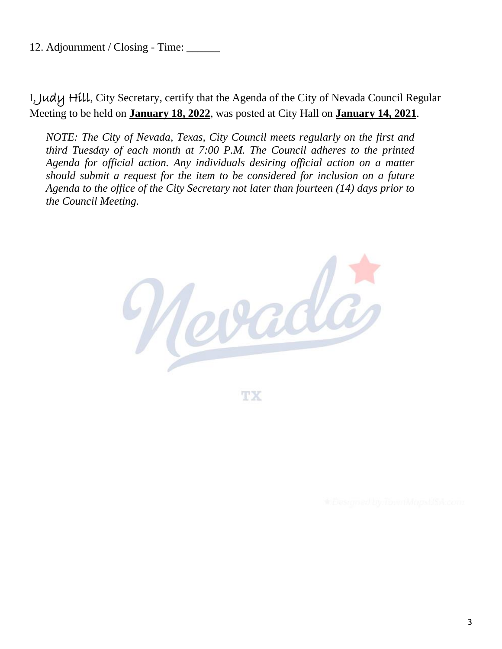12. Adjournment / Closing - Time: \_\_\_\_\_\_

I, Judy Hill, City Secretary, certify that the Agenda of the City of Nevada Council Regular Meeting to be held on **January 18, 2022**, was posted at City Hall on **January 14, 2021**.

*NOTE: The City of Nevada, Texas, City Council meets regularly on the first and third Tuesday of each month at 7:00 P.M. The Council adheres to the printed Agenda for official action. Any individuals desiring official action on a matter should submit a request for the item to be considered for inclusion on a future Agenda to the office of the City Secretary not later than fourteen (14) days prior to the Council Meeting.*



TX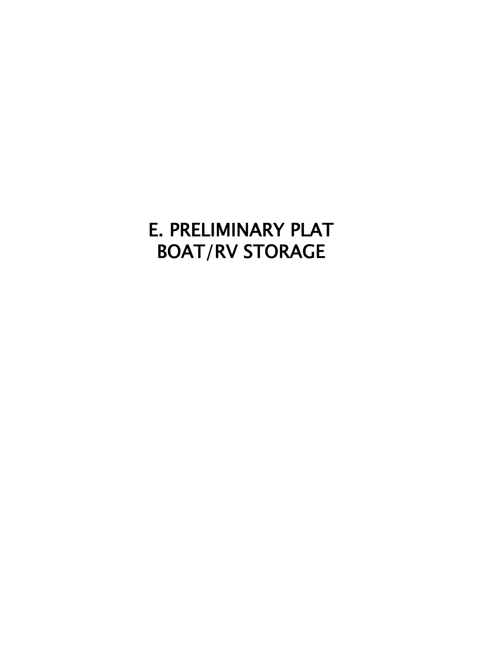## E. PRELIMINARY PLAT BOAT/RV STORAGE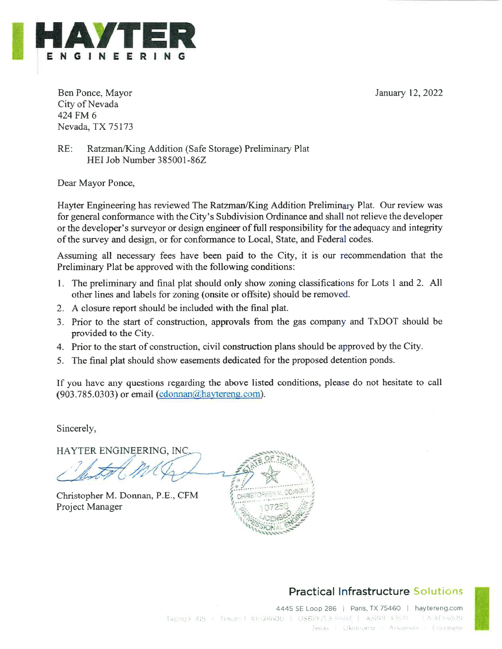January 12, 2022



Ben Ponce, Mayor City of Nevada 424 FM 6 Nevada, TX 75173

 $RE:$ Ratzman/King Addition (Safe Storage) Preliminary Plat HEI Job Number 385001-86Z

Dear Mayor Ponce,

Hayter Engineering has reviewed The Ratzman/King Addition Preliminary Plat. Our review was for general conformance with the City's Subdivision Ordinance and shall not relieve the developer or the developer's survey or design engineer of full responsibility for the adequacy and integrity of the survey and design, or for conformance to Local, State, and Federal codes.

Assuming all necessary fees have been paid to the City, it is our recommendation that the Preliminary Plat be approved with the following conditions:

- 1. The preliminary and final plat should only show zoning classifications for Lots 1 and 2. All other lines and labels for zoning (onsite or offsite) should be removed.
- 2. A closure report should be included with the final plat.
- 3. Prior to the start of construction, approvals from the gas company and TxDOT should be provided to the City.
- 4. Prior to the start of construction, civil construction plans should be approved by the City.
- 5. The final plat should show easements dedicated for the proposed detention ponds.

If you have any questions regarding the above listed conditions, please do not hesitate to call (903.785.0303) or email (cdonnan@haytereng.com).

Sincerely,

HAYTER ENGINEERING, INC.

Christopher M. Donnan, P.E., CFM Project Manager



### **Practical Infrastructure Solutions**

4445 SE Loop 286 | Paris, TX 75460 | haytereng.com TxEng + 315 + [ssue + t0:128600 | OSBPF/LS 0003 | ASBT #2521 | LA #T1-6529 Fexas Litekta these things are set the these are